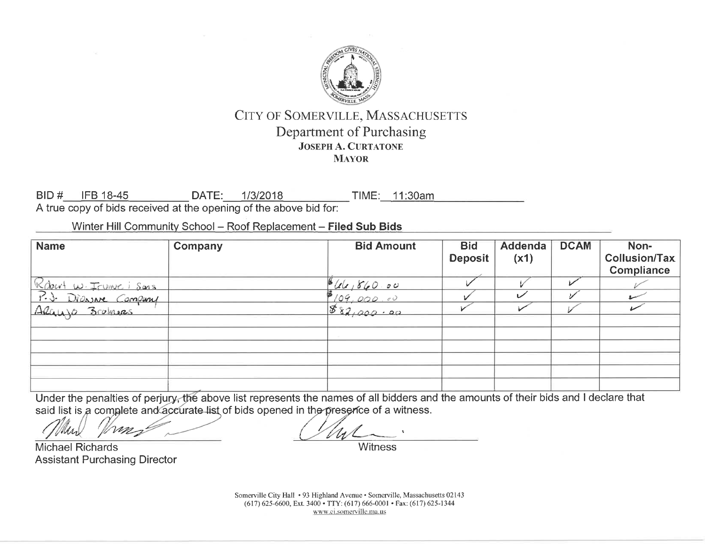

BID # IFB 18-45 DATE: 1/3/2018 TIME: 11:30am A true copy of bids received at the opening of the above bid for:

Winter Hill Community School - Roof Replacement - Filed Sub Bids

| <b>Name</b>                                      | Company | <b>Bid Amount</b>      | <b>Bid</b><br><b>Deposit</b> | Addenda<br>(x1) | <b>DCAM</b> | Non-<br><b>Collusion/Tax</b><br>Compliance |
|--------------------------------------------------|---------|------------------------|------------------------------|-----------------|-------------|--------------------------------------------|
| Robert W. Irunne i Sons<br>P.J. Diassare Company |         |                        |                              |                 |             |                                            |
|                                                  |         | $\frac{666,660.00}{6}$ |                              | س               |             |                                            |
| ARGUYO Bromers                                   |         | 882,000.00             |                              |                 |             |                                            |
|                                                  |         |                        |                              |                 |             |                                            |
|                                                  |         |                        |                              |                 |             |                                            |
|                                                  |         |                        |                              |                 |             |                                            |
|                                                  |         |                        |                              |                 |             |                                            |
|                                                  |         |                        |                              |                 |             |                                            |
|                                                  |         |                        |                              |                 |             |                                            |

Under the penalties of perjury, the above list represents the names of all bidders and the amounts of their bids and I declare that said list is a complete and accurate list of bids opened in the presence of a witness.

m

**Michael Richards Assistant Purchasing Director** 

Somerville City Hall • 93 Highland Avenue • Somerville, Massachusetts 02143 (617) 625-6600, Ext. 3400 · TTY: (617) 666-0001 · Fax: (617) 625-1344 www.ci.somerville.ma.us

Witness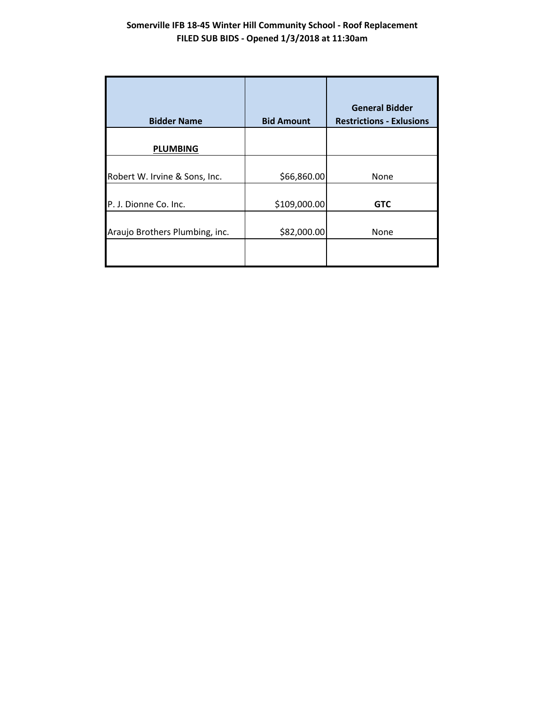| <b>Bidder Name</b>             | <b>Bid Amount</b> | <b>General Bidder</b><br><b>Restrictions - Exlusions</b> |  |  |
|--------------------------------|-------------------|----------------------------------------------------------|--|--|
| <b>PLUMBING</b>                |                   |                                                          |  |  |
| Robert W. Irvine & Sons, Inc.  | \$66,860.00       | None                                                     |  |  |
| P. J. Dionne Co. Inc.          | \$109,000.00      | <b>GTC</b>                                               |  |  |
| Araujo Brothers Plumbing, inc. | \$82,000.00       | None                                                     |  |  |
|                                |                   |                                                          |  |  |